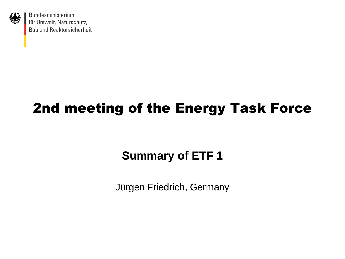

## 2nd meeting of the Energy Task Force

### **Summary of ETF 1**

Jürgen Friedrich, Germany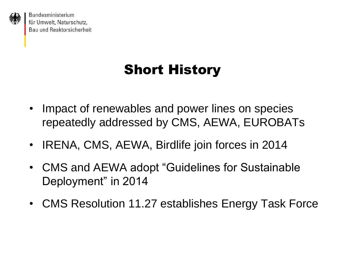

## Short History

- Impact of renewables and power lines on species repeatedly addressed by CMS, AEWA, EUROBATs
- IRENA, CMS, AEWA, Birdlife join forces in 2014
- CMS and AEWA adopt "Guidelines for Sustainable Deployment" in 2014
- CMS Resolution 11.27 establishes Energy Task Force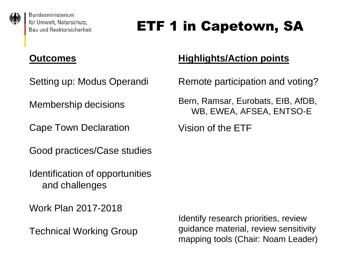

# ETF 1 in Capetown, SA

#### **Outcomes**

Setting up: Modus Operandi

Membership decisions

Cape Town Declaration

Good practices/Case studies

Identification of opportunities and challenges

Work Plan 2017-2018

Technical Working Group

### **Highlights/Action points**

Remote participation and voting?

Bern, Ramsar, Eurobats, EIB, AfDB, WB, EWEA, AFSEA, ENTSO-E

Vision of the ETF

Identify research priorities, review guidance material, review sensitivity mapping tools (Chair: Noam Leader)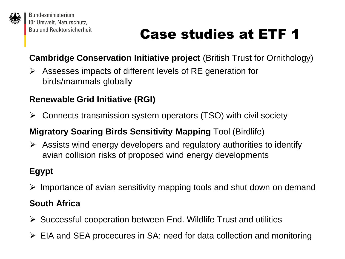

# Case studies at ETF 1

**Cambridge Conservation Initiative project** (British Trust for Ornithology)

 Assesses impacts of different levels of RE generation for birds/mammals globally

#### **Renewable Grid Initiative (RGI)**

Connects transmission system operators (TSO) with civil society

#### **Migratory Soaring Birds Sensitivity Mapping** Tool (Birdlife)

 $\triangleright$  Assists wind energy developers and regulatory authorities to identify avian collision risks of proposed wind energy developments

#### **Egypt**

 $\triangleright$  Importance of avian sensitivity mapping tools and shut down on demand

#### **South Africa**

- $\triangleright$  Successful cooperation between End. Wildlife Trust and utilities
- EIA and SEA procecures in SA: need for data collection and monitoring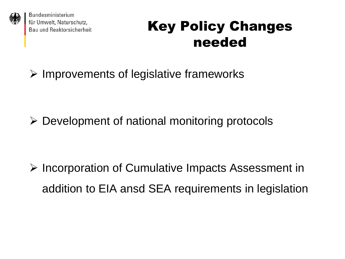

## Key Policy Changes needed

 $\triangleright$  Improvements of legislative frameworks

 $\triangleright$  Development of national monitoring protocols

 $\triangleright$  Incorporation of Cumulative Impacts Assessment in addition to EIA ansd SEA requirements in legislation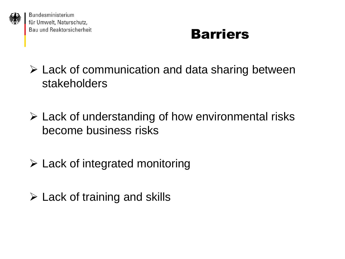

## **Barriers**

- $\triangleright$  Lack of communication and data sharing between stakeholders
- $\triangleright$  Lack of understanding of how environmental risks become business risks
- Lack of integrated monitoring
- $\triangleright$  Lack of training and skills